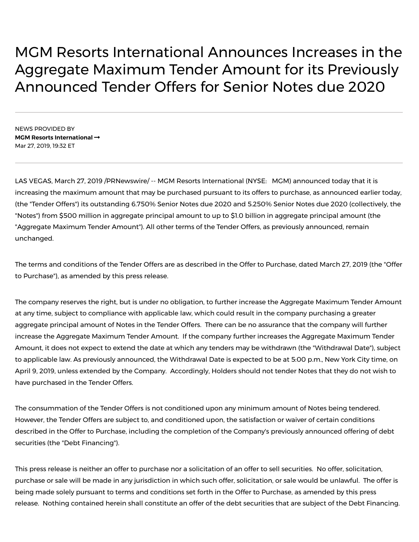## MGM Resorts International Announces Increases in the Aggregate Maximum Tender Amount for its Previously Announced Tender Offers for Senior Notes due 2020

NEWS PROVIDED BY **MGM Resorts [International](https://www.prnewswire.com/news/mgm-resorts-international)** Mar 27, 2019, 19:32 ET

LAS VEGAS, March 27, 2019 /PRNewswire/ -- MGM Resorts International (NYSE: MGM) announced today that it is increasing the maximum amount that may be purchased pursuant to its offers to purchase, as announced earlier today, (the "Tender Offers") its outstanding 6.750% Senior Notes due 2020 and 5.250% Senior Notes due 2020 (collectively, the "Notes") from \$500 million in aggregate principal amount to up to \$1.0 billion in aggregate principal amount (the "Aggregate Maximum Tender Amount"). All other terms of the Tender Offers, as previously announced, remain unchanged.

The terms and conditions of the Tender Offers are as described in the Offer to Purchase, dated March 27, 2019 (the "Offer to Purchase"), as amended by this press release.

The company reserves the right, but is under no obligation, to further increase the Aggregate Maximum Tender Amount at any time, subject to compliance with applicable law, which could result in the company purchasing a greater aggregate principal amount of Notes in the Tender Offers. There can be no assurance that the company will further increase the Aggregate Maximum Tender Amount. If the company further increases the Aggregate Maximum Tender Amount, it does not expect to extend the date at which any tenders may be withdrawn (the "Withdrawal Date"), subject to applicable law. As previously announced, the Withdrawal Date is expected to be at 5:00 p.m., New York City time, on April 9, 2019, unless extended by the Company. Accordingly, Holders should not tender Notes that they do not wish to have purchased in the Tender Offers.

The consummation of the Tender Offers is not conditioned upon any minimum amount of Notes being tendered. However, the Tender Offers are subject to, and conditioned upon, the satisfaction or waiver of certain conditions described in the Offer to Purchase, including the completion of the Company's previously announced offering of debt securities (the "Debt Financing").

This press release is neither an offer to purchase nor a solicitation of an offer to sell securities. No offer, solicitation, purchase or sale will be made in any jurisdiction in which such offer, solicitation, or sale would be unlawful. The offer is being made solely pursuant to terms and conditions set forth in the Offer to Purchase, as amended by this press release. Nothing contained herein shall constitute an offer of the debt securities that are subject of the Debt Financing.